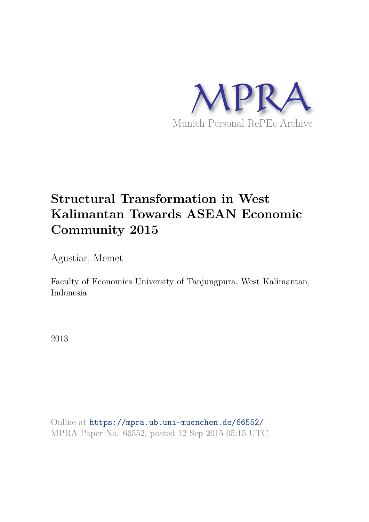

# **Structural Transformation in West Kalimantan Towards ASEAN Economic Community 2015**

Agustiar, Memet

Faculty of Economics University of Tanjungpura, West Kalimantan, Indonesia

2013

Online at https://mpra.ub.uni-muenchen.de/66552/ MPRA Paper No. 66552, posted 12 Sep 2015 05:15 UTC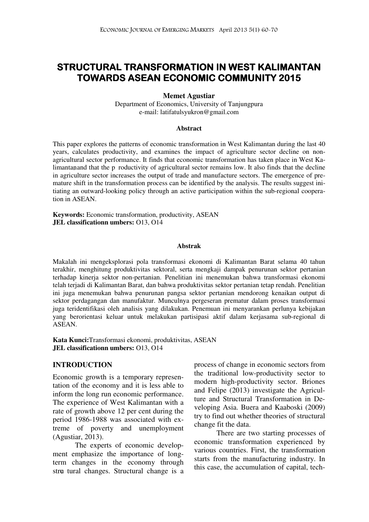### STRUCTURAL TRANSFORMATION IN WEST KALIMANTAN TOWARDS ASEAN ECONOMIC COMMUNITY 2015

#### Memet Agustiar

Department of Economics, University of Tanjungpura e-mail: latifatulsyukron@gmail.com

#### Abstract

This paper explores the patterns of economic transformation in West Kalimantan during the last 40 years, calculates productivity, and examines the impact of agriculture sector decline on nonagricultural sector performance. It finds that economic transformation has taken place in West Kalimantan, and that the p roductivity of agricultural sector remains low. It also finds that the decline in agriculture sector increases the output of trade and manufacture sectors. The emergence of premature shift in the transformation process can be identified by the analysis. The results suggest initiating an outward-looking policy through an active participation within the sub-regional cooperation in ASEAN.

Keywords: Economic transformation, productivity, ASEAN JEL classificationn umbers: 013, 014

#### Abstrak

Makalah ini mengeksplorasi pola transformasi ekonomi di Kalimantan Barat selama 40 tahun terakhir, menghitung produktivitas sektoral, serta mengkaji dampak penurunan sektor pertanian terhadap kinerja sektor non-pertanian. Penelitian ini menemukan bahwa transformasi ekonomi telah terjadi di Kalimantan Barat, dan bahwa produktivitas sektor pertanian tetap rendah. Penelitian ini juga menemukan bahwa penurunan pangsa sektor pertanian mendorong kenaikan output di sektor perdagangan dan manufaktur. Munculnya pergeseran prematur dalam proses transformasi juga teridentifikasi oleh analisis yang dilakukan. Penemuan ini menyarankan perlunya kebijakan yang berorientasi keluar untuk melakukan partisipasi aktif dalam kerjasama sub-regional di ASEAN.

Kata Kunci:Transformasi ekonomi, produktivitas, ASEAN JEL classificationn umbers: 013, 014

#### INTRODUCTION

Economic growth is a temporary representation of the economy and it is less able to inform the long run economic performance. The experience of West Kalimantan with a rate of growth above 12 per cent during the period 1986-1988 was associated with extreme of poverty and unemployment (Agustiar, 2013).

The experts of economic development emphasize the importance of longterm changes in the economy through structural changes. Structural change is a process of change in economic sectors from the traditional low-productivity sector to modern high-productivity sector. Briones and Felipe (2013) investigate the Agriculture and Structural Transformation in Developing Asia. Buera and Kaaboski (2009) try to find out whether theories of structural change fit the data.

There are two starting processes of economic transformation experienced by various countries. First, the transformation starts from the manufacturing industry. In this case, the accumulation of capital, tech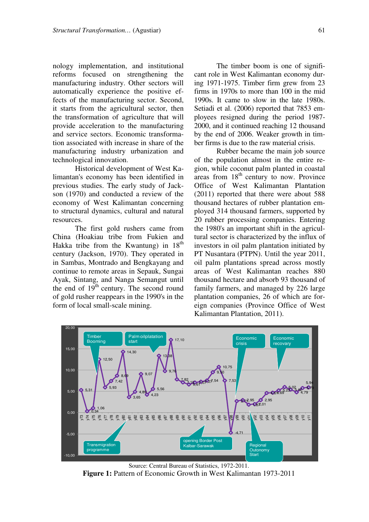nology implementation, and institutional reforms focused on strengthening the manufacturing industry. Other sectors will automatically experience the positive effects of the manufacturing sector. Second, it starts from the agricultural sector, then the transformation of agriculture that will provide acceleration to the manufacturing and service sectors. Economic transformation associated with increase in share of the manufacturing industry urbanization and technological innovation.

Historical development of West Kalimantan's economy has been identified in previous studies. The early study of Jackson (1970) and conducted a review of the economy of West Kalimantan concerning to structural dynamics, cultural and natural resources.

The first gold rushers came from China (Hoakiau tribe from Fukien and Hakka tribe from the Kwantung) in  $18<sup>th</sup>$ century (Jackson, 1970). They operated in in Sambas, Montrado and Bengkayang and continue to remote areas in Sepauk, Sungai Ayak, Sintang, and Nanga Semangut until the end of  $19<sup>th</sup>$  century. The second round of gold rusher reappears in the 1990's in the form of local small-scale mining.

The timber boom is one of significant role in West Kalimantan economy during 1971-1975. Timber firm grew from 23 firms in 1970s to more than 100 in the mid 1990s. It came to slow in the late 1980s. Setiadi et al. (2006) reported that 7853 employees resigned during the period 1987- 2000, and it continued reaching 12 thousand by the end of 2006. Weaker growth in timber firms is due to the raw material crisis.

Rubber became the main job source of the population almost in the entire region, while coconut palm planted in coastal areas from  $18<sup>th</sup>$  century to now. Province Office of West Kalimantan Plantation (2011) reported that there were about 588 thousand hectares of rubber plantation employed 314 thousand farmers, supported by 20 rubber processing companies. Entering the 1980's an important shift in the agricultural sector is characterized by the influx of investors in oil palm plantation initiated by PT Nusantara (PTPN). Until the year 2011, oil palm plantations spread across mostly areas of West Kalimantan reaches 880 thousand hectare and absorb 93 thousand of family farmers, and managed by 226 large plantation companies, 26 of which are foreign companies (Province Office of West Kalimantan Plantation, 2011).



Source: Central Bureau of Statistics, 1972-2011. Figure 1: Pattern of Economic Growth in West Kalimantan 1973-2011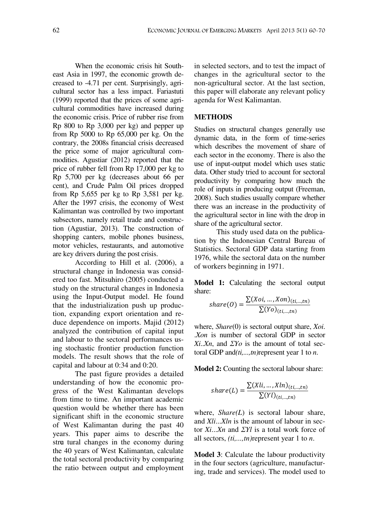When the economic crisis hit Southeast Asia in 1997, the economic growth decreased to -4.71 per cent. Surprisingly, agricultural sector has a less impact. Fariastuti (1999) reported that the prices of some agricultural commodities have increased during the economic crisis. Price of rubber rise from Rp 800 to Rp 3,000 per kg) and pepper up from Rp 5000 to Rp 65,000 per kg. On the contrary, the 2008s financial crisis decreased the price some of major agricultural commodities. Agustiar (2012) reported that the price of rubber fell from Rp 17,000 per kg to Rp 5,700 per kg (decreases about 66 per cent), and Crude Palm Oil prices dropped from Rp 5,655 per kg to Rp 3,581 per kg. After the 1997 crisis, the economy of West Kalimantan was controlled by two important subsectors, namely retail trade and construction (Agustiar, 2013). The construction of shopping canters, mobile phones business, motor vehicles, restaurants, and automotive are key drivers during the post crisis.

According to Hill et al. (2006), a structural change in Indonesia was considered too fast. Mitsuhiro (2005) conducted a study on the structural changes in Indonesia using the Input-Output model. He found that the industrialization push up production, expanding export orientation and reduce dependence on imports. Majid (2012) analyzed the contribution of capital input and labour to the sectoral performances using stochastic frontier production function models. The result shows that the role of capital and labour at 0:34 and 0:20.

The past figure provides a detailed understanding of how the economic progress of the West Kalimantan develops from time to time. An important academic question would be whether there has been significant shift in the economic structure of West Kalimantan during the past 40 years. This paper aims to describe the structural changes in the economy during the 40 years of West Kalimantan, calculate the total sectoral productivity by comparing the ratio between output and employment

in selected sectors, and to test the impact of changes in the agricultural sector to the non-agricultural sector. At the last section, this paper will elaborate any relevant policy agenda for West Kalimantan.

#### METHODS

Studies on structural changes generally use dynamic data, in the form of time-series which describes the movement of share of each sector in the economy. There is also the use of input-output model which uses static data. Other study tried to account for sectoral productivity by comparing how much the role of inputs in producing output (Freeman, 2008). Such studies usually compare whether there was an increase in the productivity of the agricultural sector in line with the drop in share of the agricultural sector.

This study used data on the publication by the Indonesian Central Bureau of Statistics. Sectoral GDP data starting from 1976, while the sectoral data on the number of workers beginning in 1971.

Model 1: Calculating the sectoral output share:  $\overline{a}$ 

$$
share(0) = \frac{\sum (Xoi, ..., Xon)_{(ti, ..., tn)}}{\sum (Yo)_{(ti, ..., tn)}}
$$

where, *Share*(0) is sectoral output share, *Xoi*. .Xon is number of sectoral GDP in sector  $Xi.Xn$ , and  $\Sigma Yo$  is the amount of total sectoral GDP and $(t_i, \ldots, t_n)$  represent year 1 to *n*.

Model 2: Counting the sectoral labour share:

$$
share(L) = \frac{\sum (Xli, ..., Xln)_{(ti, ..., tn)}}{\sum (Yl)_{(ti, ..., tn)}}
$$

where,  $Share(L)$  is sectoral labour share, and Xli...Xln is the amount of labour in sector  $Xi...Xn$  and  $\Sigma Yl$  is a total work force of all sectors,  $(t_i, ..., t_n)$  represent year 1 to *n*.

Model 3: Calculate the labour productivity in the four sectors (agriculture, manufacturing, trade and services). The model used to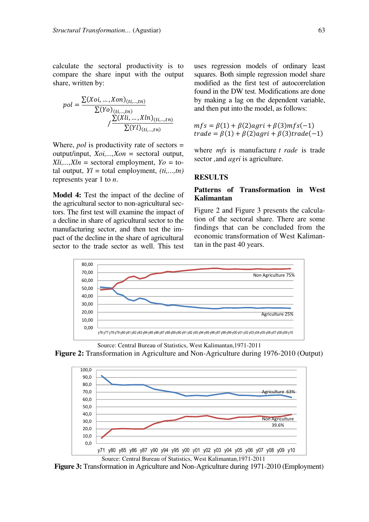calculate the sectoral productivity is to compare the share input with the output share, written by:

$$
pol = \frac{\sum (Xoi, ..., Xon)_{(ti, ..., tn)}}{\sum (Yo)_{(ti, ..., tn)}} / \frac{\sum (Xli, ..., Xln)_{(ti, ..., tn)}}{\sum (Yl)_{(ti, ..., tn)}}
$$

Where, *pol* is productivity rate of sectors  $=$ output/input,  $Xoi$ <sub>....</sub>, $Xon$  = sectoral output,  $Xli,...,Xln =$  sectoral employment,  $Yo =$  total output,  $Yl =$  total employment,  $(ii, ..., tn)$ represents year 1 to  $n$ .

**Model 4:** Test the impact of the decline of the agricultural secthe agricultural sector to non-agricultural sectors. The first test will examine the impact of a decline in share of agricultural sector to the manufacturing sector, and then test the impact of the decline in the share of agricultural sector to the trade sector as well. This test

uses regression models of ordinary least squares. Both simple regression model share modified as the first test of autocorrelation found in the DW test. Modifications are done by making a lag on the dependent variable, and then put into the model, as follows:

$$
mfs = \beta(1) + \beta(2)agri + \beta(3)mfs(-1)
$$
  
trade =  $\beta(1) + \beta(2)agri + \beta(3)trade(-1)$ 

where  $mfs$  is manufacture  $t$  rade is trade sector, and *agri* is agriculture.

#### **RESULTS**

#### Patterns of Transformation in West **Kalimantan** Kalimantan

Figure 2 and Figure 3 presents the calculation of the sectoral share. There are some findings that can be concluded from the economic transformation of West Kalimantan in the past 40 years.







Figure 3: Transformation in Agriculture and Non-Agriculture during 1971-2010 (Employment)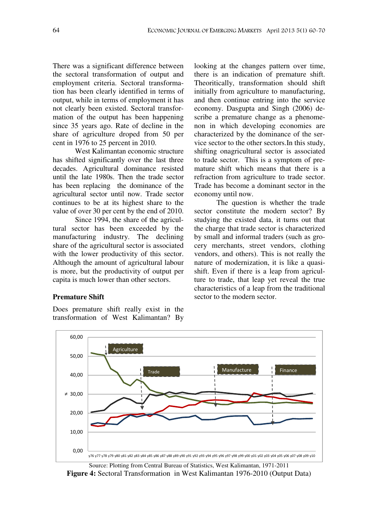There was a significant difference between the sectoral transformation of output and employment criteria. Sectoral transformation has been clearly identified in terms of output, while in terms of employment it has not clearly been existed. Sectoral transformation of the output has been happening since 35 years ago. Rate of decline in the share of agriculture droped from 50 per cent in 1976 to 25 percent in 2010.

West Kalimantan economic structure has shifted significantly over the last three decades. Agricultural dominance resisted until the late 1980s. Then the trade sector has been replacing the dominance of the agricultural sector until now. Trade sector continues to be at its highest share to the value of over 30 per cent by the end of 2010.

Since 1994, the share of the agricultural sector has been exceeded by the manufacturing industry. The declining share of the agricultural sector is associated with the lower productivity of this sector. Although the amount of agricultural labour is more, but the productivity of output per capita is much lower than other sectors.

**Premature Shift** Premature Shift

Does premature shift really exist in the transformation of West Kalimantan? By

looking at the changes pattern over time, there is an indication of premature shift. Theoritically, transformation should shift initially from agriculture to manufacturing, and then continue entring into the service economy. Dasgupta and Singh (2006) describe a premature change as a phenomenon in which developing economies are characterized by the dominance of the service sector to the other sectors.In this study, shifting onagricultural sector is associated to trade sector. This is a symptom of premature shift which means that there is a refraction from agriculture to trade sector. Trade has become a dominant sector in the economy until now.

The question is whether the trade sector constitute the modern sector? By studying the existed data, it turns out that the charge that trade sector is characterized by small and informal traders (such as grocery merchants, street vendors, clothing vendors, and others). This is not really the nature of modernization, it is like a quasishift. Even if there is a leap from agriculture to trade, that leap yet reveal the true characteristics of a leap from the traditional sector to the modern sector.



Source: Plotting from Central Bureau of Statistics, West Kalimantan, 1971-2011 Figure 4: Sectoral Transformation in West Kalimantan 1976-2010 (Output Data)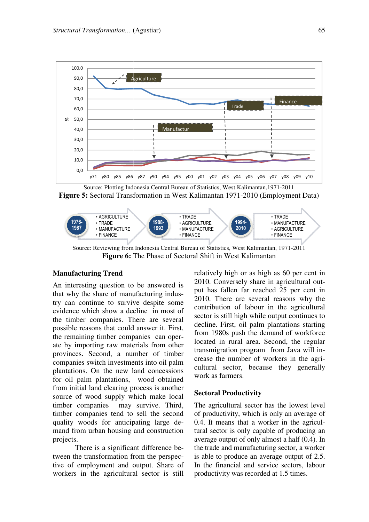



Source: Reviewing from Indonesia Central Bureau of Statistics, West Kalimantan, 1971-2011 **Figure 6:** The Phase of Sectoral Shift in West Kalimantan

## manufacturing Trend<br>Manufacturing Trend

An interesting question to be answered is that why the share of manufacturing industry can continue to survive despite some evidence which show a decline in most of the timber companies. There are several the timber companies. There are several possible reasons that could answer it. First, the remaining timber companies can operate by importing raw materials from other provinces. Second, a number of timber companies switch investments into oil palm plantations. On the new land concessions for oil palm plantations, wood obtained from initial land clearing process is another source of wood supply which make local timber companies may survive. Third, timber companies tend to sell the second quality woods for anticipating large d demand from urban housing and construction projects.

There is a significant difference b between the transformation from the perspective of employment and output. Share of workers in the agricultural sector is still

relatively high or as high as 60 per cent in 2010. Conversely share in agricultural output has fallen far reached 25 per cent in 2010. There are several reasons why the contribution of labour in the agricultural sector is still high while output continues to decline. First, oil palm plantations starting from 1980s push the demand of workforce located in rural area. Second, the regular transmigration program from Java will increase the number of workers in the agricultural sector, because they generally work as farmers.

#### Sectoral Productivity

The agricultural sector has the lowest level of productivity, which is only an average of 0.4. It means that a worker in the agricu tural sector is only capable of producing an average output of only almost a half  $(0.4)$ . In the trade and manufacturing sector, a worker is able to produce an average output of 2.5. In the financial and service sectors, labour productivity was recorded at 1.5 times. gricultural sector has the lowest level<br>ductivity, which is only an average of<br>t means that a worker in the agricul-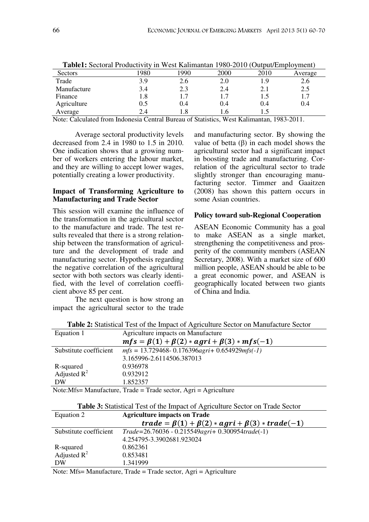| <b>Fabiel.</b> Sectoral Productivity III West Kannianian 1980-2010 (Output/Eniprovincity) |     |     |      |               |         |
|-------------------------------------------------------------------------------------------|-----|-----|------|---------------|---------|
| Sectors                                                                                   | 980 | 990 | 2000 | 2010          | Average |
| Trade                                                                                     | 3.9 | 2.6 | 2.0  | $1.9^{\circ}$ | 2.6     |
| Manufacture                                                                               | 3.4 | 2.3 | 2.4  | 2.1           | 2.5     |
| Finance                                                                                   | 1.8 |     |      |               |         |
| Agriculture                                                                               | 0.5 | 0.4 | 0.4  | 0.4           | 0.4     |
| Average                                                                                   | 2.4 | 1.8 |      |               |         |

Table1: Sectoral Productivity in West Kalimantan 1980-2010 (Output/Employment)

Note: Calculated from Indonesia Central Bureau of Statistics, West Kalimantan, 1983-2011.

Average sectoral productivity levels decreased from 2.4 in 1980 to 1.5 in 2010. One indication shows that a growing number of workers entering the labour market, and they are willing to accept lower wages, potentially creating a lower productivity.

#### Impact of Transforming Agriculture to Manufacturing and Trade Sector

This session will examine the influence of the transformation in the agricultural sector to the manufacture and trade. The test results revealed that there is a strong relationship between the transformation of agriculture and the development of trade and manufacturing sector. Hypothesis regarding the negative correlation of the agricultural sector with both sectors was clearly identified, with the level of correlation coefficient above 85 per cent.

The next question is how strong an impact the agricultural sector to the trade

and manufacturing sector. By showing the value of betta  $(\beta)$  in each model shows the agricultural sector had a significant impact in boosting trade and manufacturing. Correlation of the agricultural sector to trade slightly stronger than encouraging manufacturing sector. Timmer and Gaaitzen (2008) has shown this pattern occurs in some Asian countries.

#### Policy toward sub-Regional Cooperation

ASEAN Economic Community has a goal to make ASEAN as a single market, strengthening the competitiveness and prosperity of the community members (ASEAN Secretary, 2008). With a market size of 600 million people, ASEAN should be able to be a great economic power, and ASEAN is geographically located between two giants of China and India.

| <b>Table 2:</b> Statistical Test of the Impact of Agriculture Sector on Manufacture Sector |                                                         |  |  |
|--------------------------------------------------------------------------------------------|---------------------------------------------------------|--|--|
| Equation 1                                                                                 | Agriculture impacts on Manufacture                      |  |  |
|                                                                                            | $mfs = \beta(1) + \beta(2) * agri + \beta(3) * mfs(-1)$ |  |  |
| Substitute coefficient                                                                     | $mfs = 13.729468 - 0.176396$ agri+ 0.654929 mfs (-1)    |  |  |
|                                                                                            | 3.165996-2.6114506.387013                               |  |  |
| R-squared                                                                                  | 0.936978                                                |  |  |
| Adjusted $R^2$                                                                             | 0.932912                                                |  |  |
| DW                                                                                         | 1.852357                                                |  |  |
| Note:Mfs= Manufacture, Trade = Trade sector, Agri = Agriculture                            |                                                         |  |  |

Table 2: Statistical Test of the Impact of Agriculture Sector on Manufacture Sector

| Equation 2             | <b>Agriculture impacts on Trade</b>                         |  |  |
|------------------------|-------------------------------------------------------------|--|--|
|                        | $trade = \beta(1) + \beta(2) * agri + \beta(3) * trade(-1)$ |  |  |
| Substitute coefficient | $Trade = 26.76036 - 0.215549agri + 0.300954 trade(-1)$      |  |  |
|                        | 4.254795-3.3902681.923024                                   |  |  |
| R-squared              | 0.862361                                                    |  |  |
| Adjusted $R^2$         | 0.853481                                                    |  |  |
| DW                     | 1.341999                                                    |  |  |

Note: Mfs= Manufacture, Trade = Trade sector,  $Agri = Agriculture$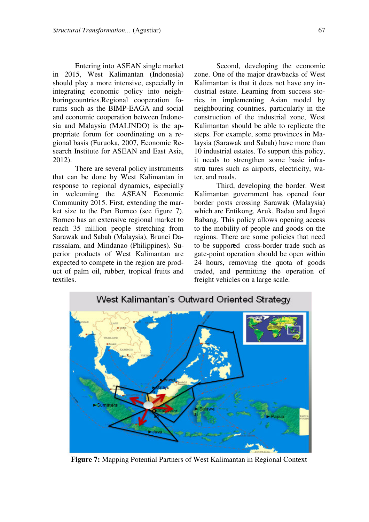Entering into ASEAN single market in 2015, West Kalimantan (Indonesia) should play a more intensive, especially in integrating economic policy into neighboringcountries.Regional cooperation forums such as the BIMP-EAGA and social and economic cooperation between Indonesia and Malaysia (MALINDO) is the appropriate forum for coordinating on a regional basis (Furuoka, 2007, Economic Research Institute for ASEAN and East Asia, 2012).

There are several policy instruments that can be done by West Kalimantan in response to regional dynamics, especially in welcoming the ASEAN Economic Community 2015. First, extending the market size to the Pan Borneo (see figure 7). Borneo has an extensive regional market to reach 35 million people stretching from Sarawak and Sabah (Malaysia), Brunei Darussalam, and Mindanao (Philippines). Superior products of West Kalimantan are expected to compete in the region are product of palm oil, rubber, tropical fruits and textiles.

Second, developing the economic zone. One of the major drawbacks of West Kalimantan is that it does not have any industrial estate. Learning from success stories in implementing Asian model by neighbouring countries, particularly in the construction of the industrial zone, West Kalimantan should be able to replicate the steps. For example, some provinces in Malaysia (Sarawak and Sabah) have more than 10 industrial estates. To support this policy, it needs to strengthen some basic infrastructures such as airports, electricity, water, and roads.

Third, developing the border. West Kalimantan government has opened four border posts crossing Sarawak (Malaysia) which are Entikong, Aruk, Badau and Jagoi Babang. This policy allows opening access to the mobility of people and goods on the regions. There are some policies that need to be supported cross-border trade such as gate-point operation should be open within 24 hours, removing the quota of goods traded, and permitting the operation of freight vehicles on a large scale.



Figure 7: Mapping Potential Partners of West Kalimantan in Regional Context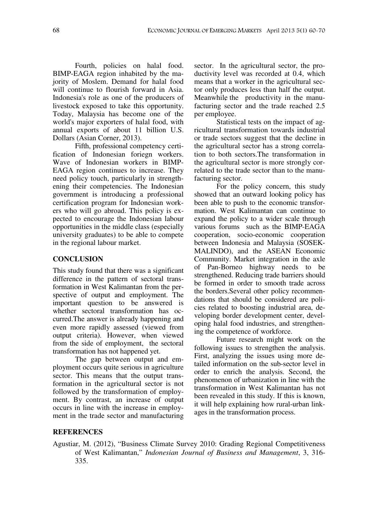Fourth, policies on halal food. BIMP-EAGA region inhabited by the majority of Moslem. Demand for halal food will continue to flourish forward in Asia. Indonesia's role as one of the producers of livestock exposed to take this opportunity. Today, Malaysia has become one of the world's major exporters of halal food, with annual exports of about 11 billion U.S. Dollars (Asian Corner, 2013).

Fifth, professional competency certification of Indonesian foriegn workers. Wave of Indonesian workers in BIMP-EAGA region continues to increase. They need policy touch, particularly in strengthening their competencies. The Indonesian government is introducing a professional certification program for Indonesian workers who will go abroad. This policy is expected to encourage the Indonesian labour opportunities in the middle class (especially university graduates) to be able to compete in the regional labour market.

#### **CONCLUSION**

This study found that there was a significant difference in the pattern of sectoral transformation in West Kalimantan from the perspective of output and employment. The important question to be answered is whether sectoral transformation has occurred.The answer is already happening and even more rapidly assessed (viewed from output criteria). However, when viewed from the side of employment, the sectoral transformation has not happened yet.

The gap between output and employment occurs quite serious in agriculture sector. This means that the output transformation in the agricultural sector is not followed by the transformation of employment. By contrast, an increase of output occurs in line with the increase in employment in the trade sector and manufacturing

sector. In the agricultural sector, the productivity level was recorded at 0.4, which means that a worker in the agricultural sector only produces less than half the output. Meanwhile the productivity in the manufacturing sector and the trade reached 2.5 per employee.

Statistical tests on the impact of agricultural transformation towards industrial or trade sectors suggest that the decline in the agricultural sector has a strong correlation to both sectors.The transformation in the agricultural sector is more strongly correlated to the trade sector than to the manufacturing sector.

For the policy concern, this study showed that an outward looking policy has been able to push to the economic transformation. West Kalimantan can continue to expand the policy to a wider scale through various forums such as the BIMP-EAGA cooperation, socio-economic cooperation between Indonesia and Malaysia (SOSEK-MALINDO), and the ASEAN Economic Community. Market integration in the axle of Pan-Borneo highway needs to be strengthened. Reducing trade barriers should be formed in order to smooth trade across the borders.Several other policy recommendations that should be considered are policies related to boosting industrial area, developing border development center, developing halal food industries, and strengthening the competence of workforce.

Future research might work on the following issues to strengthen the analysis. First, analyzing the issues using more detailed information on the sub-sector level in order to enrich the analysis. Second, the phenomenon of urbanization in line with the transformation in West Kalimantan has not been revealed in this study. If this is known, it will help explaining how rural-urban linkages in the transformation process.

#### REFERENCES

Agustiar, M. (2012), "Business Climate Survey 2010: Grading Regional Competitiveness of West Kalimantan," Indonesian Journal of Business and Management, 3, 316-335.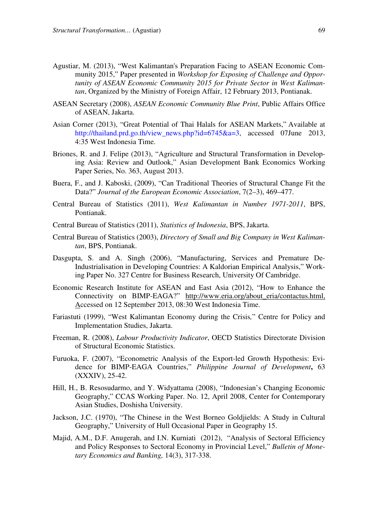- Agustiar, M. (2013), West Kalimantan's Preparation Facing to ASEAN Economic Community 2015," Paper presented in Workshop for Exposing of Challenge and Opportunity of ASEAN Economic Community 2015 for Private Sector in West Kalimantan, Organized by the Ministry of Foreign Affair, 12 February 2013, Pontianak.
- ASEAN Secretary (2008), ASEAN Economic Community Blue Print, Public Affairs Office of ASEAN, Jakarta.
- Asian Corner (2013), "Great Potential of Thai Halals for ASEAN Markets," Available at http://thailand.prd.go.th/view\_news.php?id=6745&a=3, accessed 07June 2013, 4:35 West Indonesia Time.
- Briones, R. and J. Felipe (2013), "Agriculture and Structural Transformation in Developing Asia: Review and Outlook," Asian Development Bank Economics Working Paper Series, No. 363, August 2013.
- Buera, F., and J. Kaboski, (2009), "Can Traditional Theories of Structural Change Fit the Data?" Journal of the European Economic Association, 7(2-3), 469-477.
- Central Bureau of Statistics (2011), West Kalimantan in Number 1971-2011, BPS, Pontianak.
- Central Bureau of Statistics (2011), Statistics of Indonesia, BPS, Jakarta.
- Central Bureau of Statistics (2003), Directory of Small and Big Company in West Kalimantan, BPS, Pontianak.
- Dasgupta, S. and A. Singh (2006), "Manufacturing, Services and Premature De-Industrialisation in Developing Countries: A Kaldorian Empirical Analysis," Working Paper No. 327 Centre for Business Research, University Of Cambridge.
- Economic Research Institute for ASEAN and East Asia (2012), "How to Enhance the Connectivity on BIMP-EAGA?" http://www.eria.org/about\_eria/contactus.html, Accessed on 12 September 2013, 08:30 West Indonesia Time.
- Fariastuti (1999), "West Kalimantan Economy during the Crisis," Centre for Policy and Implementation Studies, Jakarta.
- Freeman, R. (2008), Labour Productivity Indicator, OECD Statistics Directorate Division of Structural Economic Statistics.
- Furuoka, F. (2007), "Econometric Analysis of the Export-led Growth Hypothesis: Evidence for BIMP-EAGA Countries," Philippine Journal of Development, 63 (XXXIV), 25-42.
- Hill, H., B. Resosudarmo, and Y. Widyattama (2008), "Indonesian's Changing Economic Geography," CCAS Working Paper. No. 12, April 2008, Center for Contemporary Asian Studies, Doshisha University.
- Jackson, J.C. (1970), "The Chinese in the West Borneo Goldjields: A Study in Cultural Geography," University of Hull Occasional Paper in Geography 15.
- Majid, A.M., D.F. Anugerah, and I.N. Kurniati (2012), "Analysis of Sectoral Efficiency and Policy Responses to Sectoral Economy in Provincial Level," Bulletin of Monetary Economics and Banking, 14(3), 317-338.